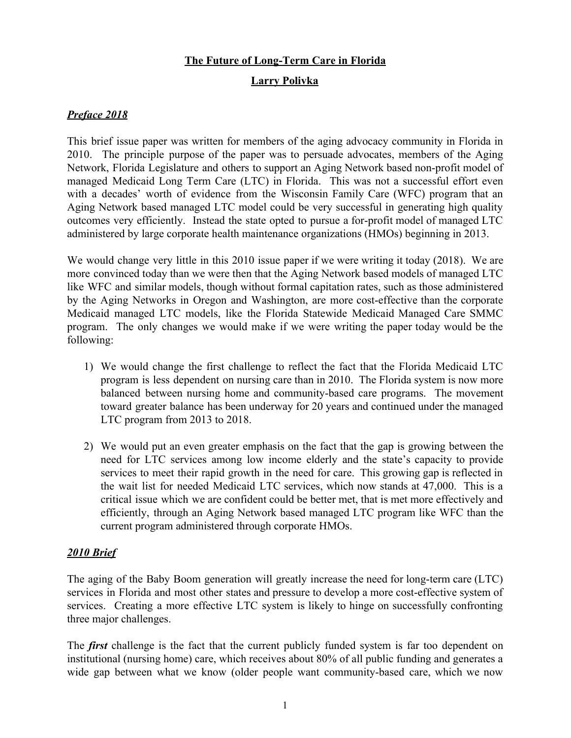## **The Future of Long-Term Care in Florida**

# **Larry Polivka**

## *Preface 2018*

This brief issue paper was written for members of the aging advocacy community in Florida in 2010. The principle purpose of the paper was to persuade advocates, members of the Aging Network, Florida Legislature and others to support an Aging Network based non-profit model of managed Medicaid Long Term Care (LTC) in Florida. This was not a successful effort even with a decades' worth of evidence from the Wisconsin Family Care (WFC) program that an Aging Network based managed LTC model could be very successful in generating high quality outcomes very efficiently. Instead the state opted to pursue a for-profit model of managed LTC administered by large corporate health maintenance organizations (HMOs) beginning in 2013.

We would change very little in this 2010 issue paper if we were writing it today (2018). We are more convinced today than we were then that the Aging Network based models of managed LTC like WFC and similar models, though without formal capitation rates, such as those administered by the Aging Networks in Oregon and Washington, are more cost-effective than the corporate Medicaid managed LTC models, like the Florida Statewide Medicaid Managed Care SMMC program. The only changes we would make if we were writing the paper today would be the following:

- 1) We would change the first challenge to reflect the fact that the Florida Medicaid LTC program is less dependent on nursing care than in 2010. The Florida system is now more balanced between nursing home and community-based care programs. The movement toward greater balance has been underway for 20 years and continued under the managed LTC program from 2013 to 2018.
- 2) We would put an even greater emphasis on the fact that the gap is growing between the need for LTC services among low income elderly and the state's capacity to provide services to meet their rapid growth in the need for care. This growing gap is reflected in the wait list for needed Medicaid LTC services, which now stands at 47,000. This is a critical issue which we are confident could be better met, that is met more effectively and efficiently, through an Aging Network based managed LTC program like WFC than the current program administered through corporate HMOs.

### *2010 Brief*

The aging of the Baby Boom generation will greatly increase the need for long-term care (LTC) services in Florida and most other states and pressure to develop a more cost-effective system of services. Creating a more effective LTC system is likely to hinge on successfully confronting three major challenges.

The *first* challenge is the fact that the current publicly funded system is far too dependent on institutional (nursing home) care, which receives about 80% of all public funding and generates a wide gap between what we know (older people want community-based care, which we now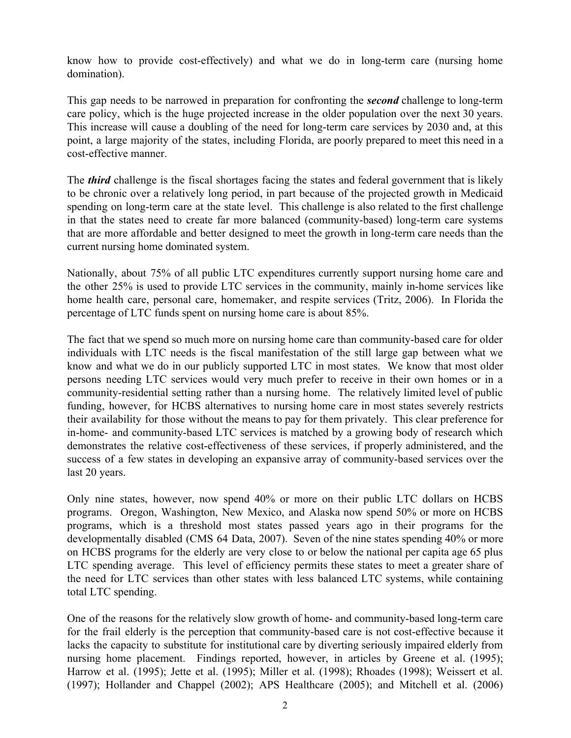know how to provide cost-effectively) and what we do in long-term care (nursing home domination).

This gap needs to be narrowed in preparation for confronting the *second* challenge to long-term care policy, which is the huge projected increase in the older population over the next 30 years. This increase will cause a doubling of the need for long-term care services by 2030 and, at this point, a large majority of the states, including Florida, are poorly prepared to meet this need in a cost-effective manner.

The *third* challenge is the fiscal shortages facing the states and federal government that is likely to be chronic over a relatively long period, in part because of the projected growth in Medicaid spending on long-term care at the state level. This challenge is also related to the first challenge in that the states need to create far more balanced (community-based) long-term care systems that are more affordable and better designed to meet the growth in long-term care needs than the current nursing home dominated system.

Nationally, about 75% of all public LTC expenditures currently support nursing home care and the other 25% is used to provide LTC services in the community, mainly in-home services like home health care, personal care, homemaker, and respite services (Tritz, 2006). In Florida the percentage of LTC funds spent on nursing home care is about 85%.

The fact that we spend so much more on nursing home care than community-based care for older individuals with LTC needs is the fiscal manifestation of the still large gap between what we know and what we do in our publicly supported LTC in most states. We know that most older persons needing LTC services would very much prefer to receive in their own homes or in a community-residential setting rather than a nursing home. The relatively limited level of public funding, however, for HCBS alternatives to nursing home care in most states severely restricts their availability for those without the means to pay for them privately. This clear preference for in-home- and community-based LTC services is matched by a growing body of research which demonstrates the relative cost-effectiveness of these services, if properly administered, and the success of a few states in developing an expansive array of community-based services over the last 20 years.

Only nine states, however, now spend 40% or more on their public LTC dollars on HCBS programs. Oregon, Washington, New Mexico, and Alaska now spend 50% or more on HCBS programs, which is a threshold most states passed years ago in their programs for the developmentally disabled (CMS 64 Data, 2007). Seven of the nine states spending 40% or more on HCBS programs for the elderly are very close to or below the national per capita age 65 plus LTC spending average. This level of efficiency permits these states to meet a greater share of the need for LTC services than other states with less balanced LTC systems, while containing total LTC spending.

One of the reasons for the relatively slow growth of home- and community-based long-term care for the frail elderly is the perception that community-based care is not cost-effective because it lacks the capacity to substitute for institutional care by diverting seriously impaired elderly from nursing home placement. Findings reported, however, in articles by Greene et al. (1995); Harrow et al. (1995); Jette et al. (1995); Miller et al. (1998); Rhoades (1998); Weissert et al. (1997); Hollander and Chappel (2002); APS Healthcare (2005); and Mitchell et al. (2006)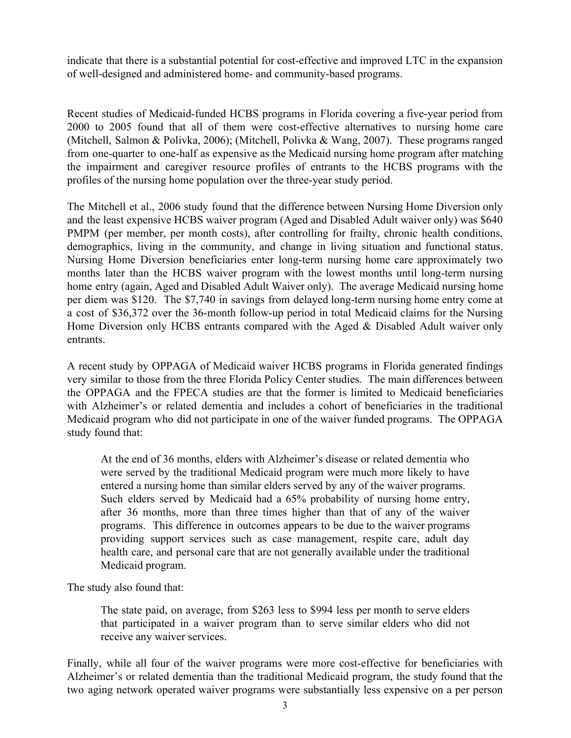indicate that there is a substantial potential for cost-effective and improved LTC in the expansion of well-designed and administered home- and community-based programs.

Recent studies of Medicaid-funded HCBS programs in Florida covering a five-year period from 2000 to 2005 found that all of them were cost-effective alternatives to nursing home care (Mitchell, Salmon & Polivka, 2006); (Mitchell, Polivka & Wang, 2007). These programs ranged from one-quarter to one-half as expensive as the Medicaid nursing home program after matching the impairment and caregiver resource profiles of entrants to the HCBS programs with the profiles of the nursing home population over the three-year study period.

The Mitchell et al., 2006 study found that the difference between Nursing Home Diversion only and the least expensive HCBS waiver program (Aged and Disabled Adult waiver only) was \$640 PMPM (per member, per month costs), after controlling for frailty, chronic health conditions, demographics, living in the community, and change in living situation and functional status. Nursing Home Diversion beneficiaries enter long-term nursing home care approximately two months later than the HCBS waiver program with the lowest months until long-term nursing home entry (again, Aged and Disabled Adult Waiver only). The average Medicaid nursing home per diem was \$120. The \$7,740 in savings from delayed long-term nursing home entry come at a cost of \$36,372 over the 36-month follow-up period in total Medicaid claims for the Nursing Home Diversion only HCBS entrants compared with the Aged & Disabled Adult waiver only entrants.

A recent study by OPPAGA of Medicaid waiver HCBS programs in Florida generated findings very similar to those from the three Florida Policy Center studies. The main differences between the OPPAGA and the FPECA studies are that the former is limited to Medicaid beneficiaries with Alzheimer's or related dementia and includes a cohort of beneficiaries in the traditional Medicaid program who did not participate in one of the waiver funded programs. The OPPAGA study found that:

At the end of 36 months, elders with Alzheimer's disease or related dementia who were served by the traditional Medicaid program were much more likely to have entered a nursing home than similar elders served by any of the waiver programs. Such elders served by Medicaid had a 65% probability of nursing home entry, after 36 months, more than three times higher than that of any of the waiver programs. This difference in outcomes appears to be due to the waiver programs providing support services such as case management, respite care, adult day health care, and personal care that are not generally available under the traditional Medicaid program.

The study also found that:

The state paid, on average, from \$263 less to \$994 less per month to serve elders that participated in a waiver program than to serve similar elders who did not receive any waiver services.

Finally, while all four of the waiver programs were more cost-effective for beneficiaries with Alzheimer's or related dementia than the traditional Medicaid program, the study found that the two aging network operated waiver programs were substantially less expensive on a per person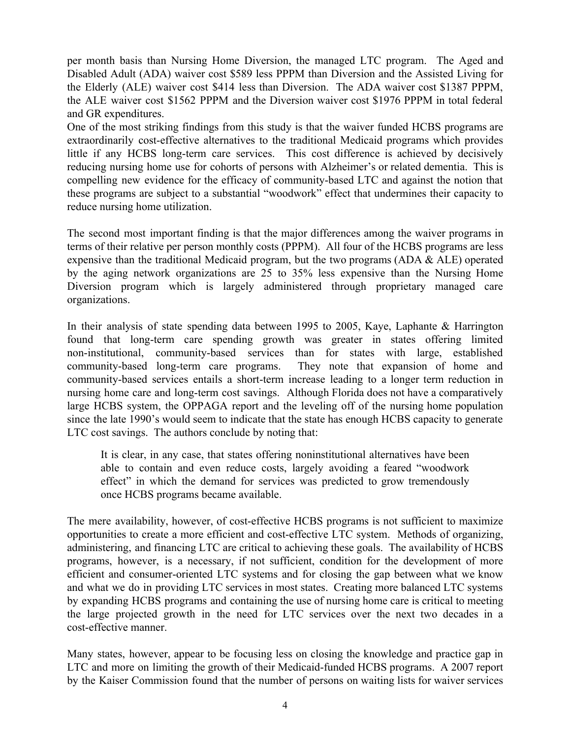per month basis than Nursing Home Diversion, the managed LTC program. The Aged and Disabled Adult (ADA) waiver cost \$589 less PPPM than Diversion and the Assisted Living for the Elderly (ALE) waiver cost \$414 less than Diversion. The ADA waiver cost \$1387 PPPM, the ALE waiver cost \$1562 PPPM and the Diversion waiver cost \$1976 PPPM in total federal and GR expenditures.

One of the most striking findings from this study is that the waiver funded HCBS programs are extraordinarily cost-effective alternatives to the traditional Medicaid programs which provides little if any HCBS long-term care services. This cost difference is achieved by decisively reducing nursing home use for cohorts of persons with Alzheimer's or related dementia. This is compelling new evidence for the efficacy of community-based LTC and against the notion that these programs are subject to a substantial "woodwork" effect that undermines their capacity to reduce nursing home utilization.

The second most important finding is that the major differences among the waiver programs in terms of their relative per person monthly costs (PPPM). All four of the HCBS programs are less expensive than the traditional Medicaid program, but the two programs (ADA & ALE) operated by the aging network organizations are 25 to 35% less expensive than the Nursing Home Diversion program which is largely administered through proprietary managed care organizations.

In their analysis of state spending data between 1995 to 2005, Kaye, Laphante & Harrington found that long-term care spending growth was greater in states offering limited non-institutional, community-based services than for states with large, established community-based long-term care programs. They note that expansion of home and community-based services entails a short-term increase leading to a longer term reduction in nursing home care and long-term cost savings. Although Florida does not have a comparatively large HCBS system, the OPPAGA report and the leveling off of the nursing home population since the late 1990's would seem to indicate that the state has enough HCBS capacity to generate LTC cost savings. The authors conclude by noting that:

It is clear, in any case, that states offering noninstitutional alternatives have been able to contain and even reduce costs, largely avoiding a feared "woodwork effect" in which the demand for services was predicted to grow tremendously once HCBS programs became available.

The mere availability, however, of cost-effective HCBS programs is not sufficient to maximize opportunities to create a more efficient and cost-effective LTC system. Methods of organizing, administering, and financing LTC are critical to achieving these goals. The availability of HCBS programs, however, is a necessary, if not sufficient, condition for the development of more efficient and consumer-oriented LTC systems and for closing the gap between what we know and what we do in providing LTC services in most states. Creating more balanced LTC systems by expanding HCBS programs and containing the use of nursing home care is critical to meeting the large projected growth in the need for LTC services over the next two decades in a cost-effective manner.

Many states, however, appear to be focusing less on closing the knowledge and practice gap in LTC and more on limiting the growth of their Medicaid-funded HCBS programs. A 2007 report by the Kaiser Commission found that the number of persons on waiting lists for waiver services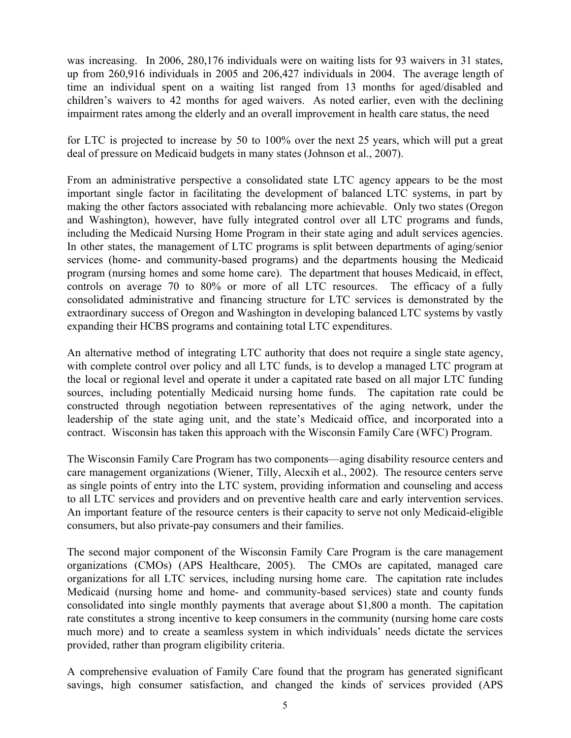was increasing. In 2006, 280,176 individuals were on waiting lists for 93 waivers in 31 states, up from 260,916 individuals in 2005 and 206,427 individuals in 2004. The average length of time an individual spent on a waiting list ranged from 13 months for aged/disabled and children's waivers to 42 months for aged waivers. As noted earlier, even with the declining impairment rates among the elderly and an overall improvement in health care status, the need

for LTC is projected to increase by 50 to 100% over the next 25 years, which will put a great deal of pressure on Medicaid budgets in many states (Johnson et al., 2007).

From an administrative perspective a consolidated state LTC agency appears to be the most important single factor in facilitating the development of balanced LTC systems, in part by making the other factors associated with rebalancing more achievable. Only two states (Oregon and Washington), however, have fully integrated control over all LTC programs and funds, including the Medicaid Nursing Home Program in their state aging and adult services agencies. In other states, the management of LTC programs is split between departments of aging/senior services (home- and community-based programs) and the departments housing the Medicaid program (nursing homes and some home care). The department that houses Medicaid, in effect, controls on average 70 to 80% or more of all LTC resources. The efficacy of a fully consolidated administrative and financing structure for LTC services is demonstrated by the extraordinary success of Oregon and Washington in developing balanced LTC systems by vastly expanding their HCBS programs and containing total LTC expenditures.

An alternative method of integrating LTC authority that does not require a single state agency, with complete control over policy and all LTC funds, is to develop a managed LTC program at the local or regional level and operate it under a capitated rate based on all major LTC funding sources, including potentially Medicaid nursing home funds. The capitation rate could be constructed through negotiation between representatives of the aging network, under the leadership of the state aging unit, and the state's Medicaid office, and incorporated into a contract. Wisconsin has taken this approach with the Wisconsin Family Care (WFC) Program.

The Wisconsin Family Care Program has two components—aging disability resource centers and care management organizations (Wiener, Tilly, Alecxih et al., 2002). The resource centers serve as single points of entry into the LTC system, providing information and counseling and access to all LTC services and providers and on preventive health care and early intervention services. An important feature of the resource centers is their capacity to serve not only Medicaid-eligible consumers, but also private-pay consumers and their families.

The second major component of the Wisconsin Family Care Program is the care management organizations (CMOs) (APS Healthcare, 2005). The CMOs are capitated, managed care organizations for all LTC services, including nursing home care. The capitation rate includes Medicaid (nursing home and home- and community-based services) state and county funds consolidated into single monthly payments that average about \$1,800 a month. The capitation rate constitutes a strong incentive to keep consumers in the community (nursing home care costs much more) and to create a seamless system in which individuals' needs dictate the services provided, rather than program eligibility criteria.

A comprehensive evaluation of Family Care found that the program has generated significant savings, high consumer satisfaction, and changed the kinds of services provided (APS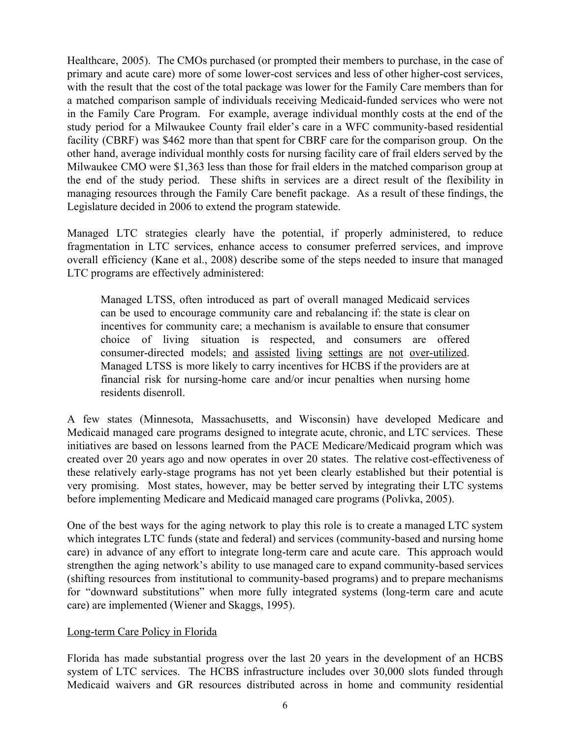Healthcare, 2005). The CMOs purchased (or prompted their members to purchase, in the case of primary and acute care) more of some lower-cost services and less of other higher-cost services, with the result that the cost of the total package was lower for the Family Care members than for a matched comparison sample of individuals receiving Medicaid-funded services who were not in the Family Care Program. For example, average individual monthly costs at the end of the study period for a Milwaukee County frail elder's care in a WFC community-based residential facility (CBRF) was \$462 more than that spent for CBRF care for the comparison group. On the other hand, average individual monthly costs for nursing facility care of frail elders served by the Milwaukee CMO were \$1,363 less than those for frail elders in the matched comparison group at the end of the study period. These shifts in services are a direct result of the flexibility in managing resources through the Family Care benefit package. As a result of these findings, the Legislature decided in 2006 to extend the program statewide.

Managed LTC strategies clearly have the potential, if properly administered, to reduce fragmentation in LTC services, enhance access to consumer preferred services, and improve overall efficiency (Kane et al., 2008) describe some of the steps needed to insure that managed LTC programs are effectively administered:

Managed LTSS, often introduced as part of overall managed Medicaid services can be used to encourage community care and rebalancing if: the state is clear on incentives for community care; a mechanism is available to ensure that consumer choice of living situation is respected, and consumers are offered consumer-directed models; and assisted living settings are not over-utilized. Managed LTSS is more likely to carry incentives for HCBS if the providers are at financial risk for nursing-home care and/or incur penalties when nursing home residents disenroll.

A few states (Minnesota, Massachusetts, and Wisconsin) have developed Medicare and Medicaid managed care programs designed to integrate acute, chronic, and LTC services. These initiatives are based on lessons learned from the PACE Medicare/Medicaid program which was created over 20 years ago and now operates in over 20 states. The relative cost-effectiveness of these relatively early-stage programs has not yet been clearly established but their potential is very promising. Most states, however, may be better served by integrating their LTC systems before implementing Medicare and Medicaid managed care programs (Polivka, 2005).

One of the best ways for the aging network to play this role is to create a managed LTC system which integrates LTC funds (state and federal) and services (community-based and nursing home care) in advance of any effort to integrate long-term care and acute care. This approach would strengthen the aging network's ability to use managed care to expand community-based services (shifting resources from institutional to community-based programs) and to prepare mechanisms for "downward substitutions" when more fully integrated systems (long-term care and acute care) are implemented (Wiener and Skaggs, 1995).

### Long-term Care Policy in Florida

Florida has made substantial progress over the last 20 years in the development of an HCBS system of LTC services. The HCBS infrastructure includes over 30,000 slots funded through Medicaid waivers and GR resources distributed across in home and community residential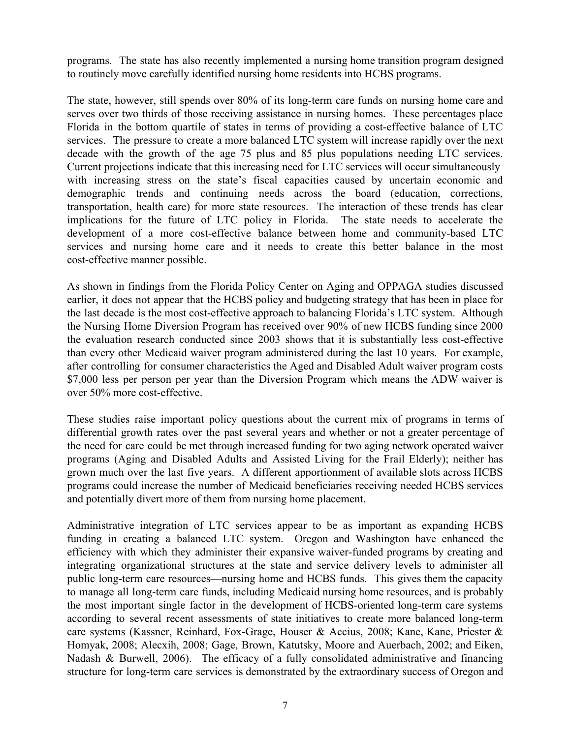programs. The state has also recently implemented a nursing home transition program designed to routinely move carefully identified nursing home residents into HCBS programs.

The state, however, still spends over 80% of its long-term care funds on nursing home care and serves over two thirds of those receiving assistance in nursing homes. These percentages place Florida in the bottom quartile of states in terms of providing a cost-effective balance of LTC services. The pressure to create a more balanced LTC system will increase rapidly over the next decade with the growth of the age 75 plus and 85 plus populations needing LTC services. Current projections indicate that this increasing need for LTC services will occur simultaneously with increasing stress on the state's fiscal capacities caused by uncertain economic and demographic trends and continuing needs across the board (education, corrections, transportation, health care) for more state resources. The interaction of these trends has clear implications for the future of LTC policy in Florida. The state needs to accelerate the development of a more cost-effective balance between home and community-based LTC services and nursing home care and it needs to create this better balance in the most cost-effective manner possible.

As shown in findings from the Florida Policy Center on Aging and OPPAGA studies discussed earlier, it does not appear that the HCBS policy and budgeting strategy that has been in place for the last decade is the most cost-effective approach to balancing Florida's LTC system. Although the Nursing Home Diversion Program has received over 90% of new HCBS funding since 2000 the evaluation research conducted since 2003 shows that it is substantially less cost-effective than every other Medicaid waiver program administered during the last 10 years. For example, after controlling for consumer characteristics the Aged and Disabled Adult waiver program costs \$7,000 less per person per year than the Diversion Program which means the ADW waiver is over 50% more cost-effective.

These studies raise important policy questions about the current mix of programs in terms of differential growth rates over the past several years and whether or not a greater percentage of the need for care could be met through increased funding for two aging network operated waiver programs (Aging and Disabled Adults and Assisted Living for the Frail Elderly); neither has grown much over the last five years. A different apportionment of available slots across HCBS programs could increase the number of Medicaid beneficiaries receiving needed HCBS services and potentially divert more of them from nursing home placement.

Administrative integration of LTC services appear to be as important as expanding HCBS funding in creating a balanced LTC system. Oregon and Washington have enhanced the efficiency with which they administer their expansive waiver-funded programs by creating and integrating organizational structures at the state and service delivery levels to administer all public long-term care resources—nursing home and HCBS funds. This gives them the capacity to manage all long-term care funds, including Medicaid nursing home resources, and is probably the most important single factor in the development of HCBS-oriented long-term care systems according to several recent assessments of state initiatives to create more balanced long-term care systems (Kassner, Reinhard, Fox-Grage, Houser & Accius, 2008; Kane, Kane, Priester & Homyak, 2008; Alecxih, 2008; Gage, Brown, Katutsky, Moore and Auerbach, 2002; and Eiken, Nadash & Burwell, 2006). The efficacy of a fully consolidated administrative and financing structure for long-term care services is demonstrated by the extraordinary success of Oregon and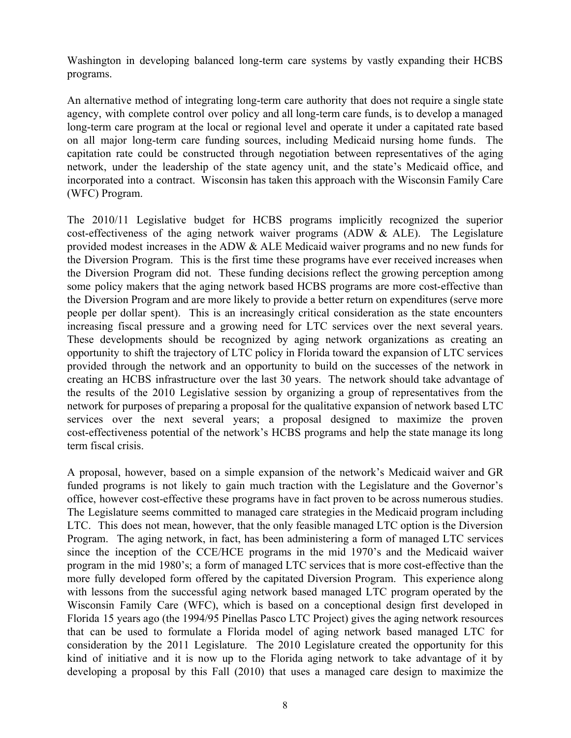Washington in developing balanced long-term care systems by vastly expanding their HCBS programs.

An alternative method of integrating long-term care authority that does not require a single state agency, with complete control over policy and all long-term care funds, is to develop a managed long-term care program at the local or regional level and operate it under a capitated rate based on all major long-term care funding sources, including Medicaid nursing home funds. The capitation rate could be constructed through negotiation between representatives of the aging network, under the leadership of the state agency unit, and the state's Medicaid office, and incorporated into a contract. Wisconsin has taken this approach with the Wisconsin Family Care (WFC) Program.

The 2010/11 Legislative budget for HCBS programs implicitly recognized the superior cost-effectiveness of the aging network waiver programs (ADW & ALE). The Legislature provided modest increases in the ADW & ALE Medicaid waiver programs and no new funds for the Diversion Program. This is the first time these programs have ever received increases when the Diversion Program did not. These funding decisions reflect the growing perception among some policy makers that the aging network based HCBS programs are more cost-effective than the Diversion Program and are more likely to provide a better return on expenditures (serve more people per dollar spent). This is an increasingly critical consideration as the state encounters increasing fiscal pressure and a growing need for LTC services over the next several years. These developments should be recognized by aging network organizations as creating an opportunity to shift the trajectory of LTC policy in Florida toward the expansion of LTC services provided through the network and an opportunity to build on the successes of the network in creating an HCBS infrastructure over the last 30 years. The network should take advantage of the results of the 2010 Legislative session by organizing a group of representatives from the network for purposes of preparing a proposal for the qualitative expansion of network based LTC services over the next several years; a proposal designed to maximize the proven cost-effectiveness potential of the network's HCBS programs and help the state manage its long term fiscal crisis.

A proposal, however, based on a simple expansion of the network's Medicaid waiver and GR funded programs is not likely to gain much traction with the Legislature and the Governor's office, however cost-effective these programs have in fact proven to be across numerous studies. The Legislature seems committed to managed care strategies in the Medicaid program including LTC. This does not mean, however, that the only feasible managed LTC option is the Diversion Program. The aging network, in fact, has been administering a form of managed LTC services since the inception of the CCE/HCE programs in the mid 1970's and the Medicaid waiver program in the mid 1980's; a form of managed LTC services that is more cost-effective than the more fully developed form offered by the capitated Diversion Program. This experience along with lessons from the successful aging network based managed LTC program operated by the Wisconsin Family Care (WFC), which is based on a conceptional design first developed in Florida 15 years ago (the 1994/95 Pinellas Pasco LTC Project) gives the aging network resources that can be used to formulate a Florida model of aging network based managed LTC for consideration by the 2011 Legislature. The 2010 Legislature created the opportunity for this kind of initiative and it is now up to the Florida aging network to take advantage of it by developing a proposal by this Fall (2010) that uses a managed care design to maximize the